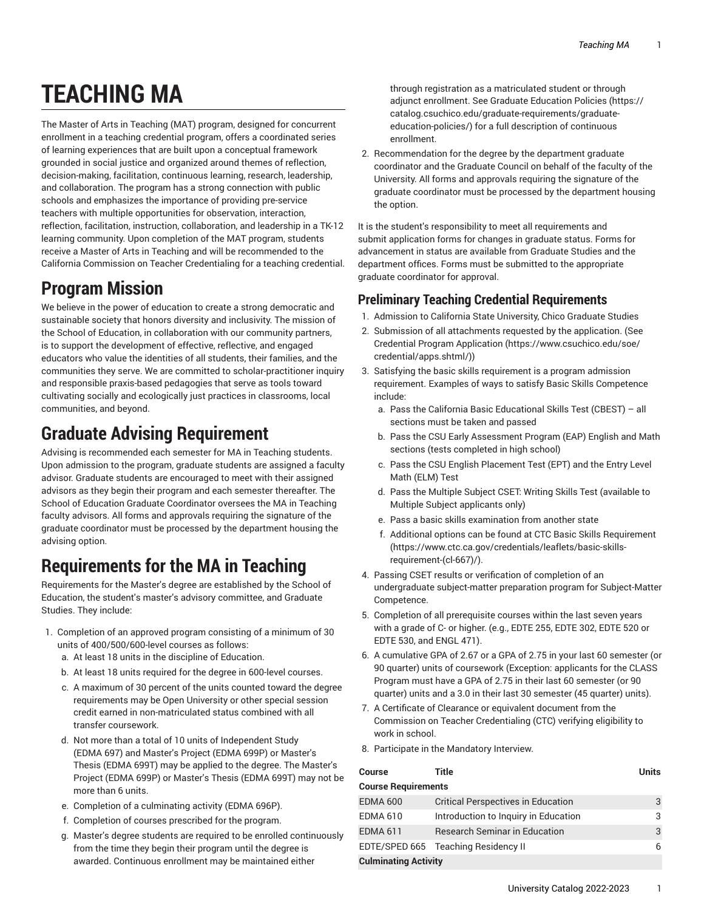# **TEACHING MA**

The Master of Arts in Teaching (MAT) program, designed for concurrent enrollment in a teaching credential program, offers a coordinated series of learning experiences that are built upon a conceptual framework grounded in social justice and organized around themes of reflection, decision-making, facilitation, continuous learning, research, leadership, and collaboration. The program has a strong connection with public schools and emphasizes the importance of providing pre-service teachers with multiple opportunities for observation, interaction, reflection, facilitation, instruction, collaboration, and leadership in a TK-12 learning community. Upon completion of the MAT program, students receive a Master of Arts in Teaching and will be recommended to the California Commission on Teacher Credentialing for a teaching credential.

## **Program Mission**

We believe in the power of education to create a strong democratic and sustainable society that honors diversity and inclusivity. The mission of the School of Education, in collaboration with our community partners, is to support the development of effective, reflective, and engaged educators who value the identities of all students, their families, and the communities they serve. We are committed to scholar-practitioner inquiry and responsible praxis-based pedagogies that serve as tools toward cultivating socially and ecologically just practices in classrooms, local communities, and beyond.

## **Graduate Advising Requirement**

Advising is recommended each semester for MA in Teaching students. Upon admission to the program, graduate students are assigned a faculty advisor. Graduate students are encouraged to meet with their assigned advisors as they begin their program and each semester thereafter. The School of Education Graduate Coordinator oversees the MA in Teaching faculty advisors. All forms and approvals requiring the signature of the graduate coordinator must be processed by the department housing the advising option.

### **Requirements for the MA in Teaching**

Requirements for the Master's degree are established by the School of Education, the student's master's advisory committee, and Graduate Studies. They include:

- 1. Completion of an approved program consisting of a minimum of 30 units of 400/500/600-level courses as follows:
	- a. At least 18 units in the discipline of Education.
	- b. At least 18 units required for the degree in 600-level courses.
	- c. A maximum of 30 percent of the units counted toward the degree requirements may be Open University or other special session credit earned in non-matriculated status combined with all transfer coursework.
	- d. Not more than a total of 10 units of Independent Study (EDMA 697) and Master's Project (EDMA 699P) or Master's Thesis (EDMA 699T) may be applied to the degree. The Master's Project (EDMA 699P) or Master's Thesis (EDMA 699T) may not be more than 6 units.
	- e. Completion of a culminating activity (EDMA 696P).
	- f. Completion of courses prescribed for the program.
	- g. Master's degree students are required to be enrolled continuously from the time they begin their program until the degree is awarded. Continuous enrollment may be maintained either

through registration as a matriculated student or through adjunct enrollment. See Graduate [Education](https://catalog.csuchico.edu/graduate-requirements/graduate-education-policies/) Policies ([https://](https://catalog.csuchico.edu/graduate-requirements/graduate-education-policies/) [catalog.csuchico.edu/graduate-requirements/graduate](https://catalog.csuchico.edu/graduate-requirements/graduate-education-policies/)[education-policies/](https://catalog.csuchico.edu/graduate-requirements/graduate-education-policies/)) for a full description of continuous enrollment.

2. Recommendation for the degree by the department graduate coordinator and the Graduate Council on behalf of the faculty of the University. All forms and approvals requiring the signature of the graduate coordinator must be processed by the department housing the option.

It is the student's responsibility to meet all requirements and submit application forms for changes in graduate status. Forms for advancement in status are available from Graduate Studies and the department offices. Forms must be submitted to the appropriate graduate coordinator for approval.

#### **Preliminary Teaching Credential Requirements**

- 1. Admission to California State University, Chico Graduate Studies
- 2. Submission of all attachments requested by the application. (See Credential Program [Application \(https://www.csuchico.edu/soe/](https://www.csuchico.edu/soe/credential/apps.shtml/) [credential/apps.shtml/\)](https://www.csuchico.edu/soe/credential/apps.shtml/))
- 3. Satisfying the basic skills requirement is a program admission requirement. Examples of ways to satisfy Basic Skills Competence include:
	- a. Pass the California Basic Educational Skills Test (CBEST) all sections must be taken and passed
	- b. Pass the CSU Early Assessment Program (EAP) English and Math sections (tests completed in high school)
	- c. Pass the CSU English Placement Test (EPT) and the Entry Level Math (ELM) Test
	- d. Pass the Multiple Subject CSET: Writing Skills Test (available to Multiple Subject applicants only)
	- e. Pass a basic skills examination from another state
	- f. Additional options can be found at CTC Basic Skills [Requirement](https://www.ctc.ca.gov/credentials/leaflets/basic-skills-requirement-(cl-667)/) [\(https://www.ctc.ca.gov/credentials/leaflets/basic-skills](https://www.ctc.ca.gov/credentials/leaflets/basic-skills-requirement-(cl-667)/)[requirement-\(cl-667\)/\)](https://www.ctc.ca.gov/credentials/leaflets/basic-skills-requirement-(cl-667)/).
- 4. Passing CSET results or verification of completion of an undergraduate subject-matter preparation program for Subject-Matter Competence.
- 5. Completion of all prerequisite courses within the last seven years with a grade of C- or higher. (e.g., EDTE 255, EDTE 302, EDTE 520 or EDTE 530, and ENGL 471).
- 6. A cumulative GPA of 2.67 or a GPA of 2.75 in your last 60 semester (or 90 quarter) units of coursework (Exception: applicants for the CLASS Program must have a GPA of 2.75 in their last 60 semester (or 90 quarter) units and a 3.0 in their last 30 semester (45 quarter) units).
- 7. A Certificate of Clearance or equivalent document from the Commission on Teacher Credentialing (CTC) verifying eligibility to work in school.
- 8. Participate in the Mandatory Interview.

| Course                      | <b>Title</b>                              | <b>Units</b> |  |  |
|-----------------------------|-------------------------------------------|--------------|--|--|
| <b>Course Requirements</b>  |                                           |              |  |  |
| <b>EDMA 600</b>             | <b>Critical Perspectives in Education</b> | 3            |  |  |
| <b>EDMA 610</b>             | Introduction to Inquiry in Education      | 3            |  |  |
| <b>EDMA 611</b>             | <b>Research Seminar in Education</b>      | 3            |  |  |
|                             | EDTE/SPED 665 Teaching Residency II       | 6            |  |  |
| <b>Culminating Activity</b> |                                           |              |  |  |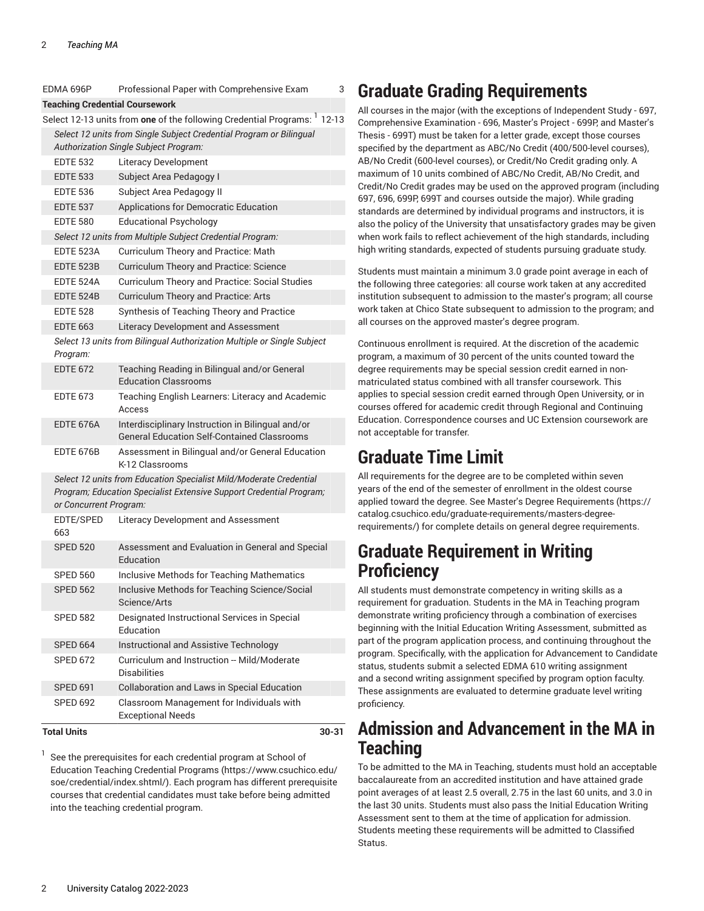|                                                                                             | EDMA 696P                                                 | Professional Paper with Comprehensive Exam                                                                                                | 3     |  |  |
|---------------------------------------------------------------------------------------------|-----------------------------------------------------------|-------------------------------------------------------------------------------------------------------------------------------------------|-------|--|--|
|                                                                                             | <b>Teaching Credential Coursework</b>                     |                                                                                                                                           |       |  |  |
| Select 12-13 units from <b>one</b> of the following Credential Programs: <sup>1</sup> 12-13 |                                                           |                                                                                                                                           |       |  |  |
|                                                                                             |                                                           | Select 12 units from Single Subject Credential Program or Bilingual                                                                       |       |  |  |
| <b>Authorization Single Subject Program:</b>                                                |                                                           |                                                                                                                                           |       |  |  |
|                                                                                             | <b>EDTE 532</b>                                           | <b>Literacy Development</b>                                                                                                               |       |  |  |
|                                                                                             | <b>EDTE 533</b>                                           | Subject Area Pedagogy I                                                                                                                   |       |  |  |
|                                                                                             | <b>EDTE 536</b>                                           | Subject Area Pedagogy II                                                                                                                  |       |  |  |
|                                                                                             | <b>EDTE 537</b>                                           | Applications for Democratic Education                                                                                                     |       |  |  |
|                                                                                             | <b>EDTE 580</b>                                           | <b>Educational Psychology</b>                                                                                                             |       |  |  |
|                                                                                             | Select 12 units from Multiple Subject Credential Program: |                                                                                                                                           |       |  |  |
|                                                                                             | EDTE 523A                                                 | Curriculum Theory and Practice: Math                                                                                                      |       |  |  |
|                                                                                             | <b>EDTE 523B</b>                                          | Curriculum Theory and Practice: Science                                                                                                   |       |  |  |
|                                                                                             | EDTE 524A                                                 | Curriculum Theory and Practice: Social Studies                                                                                            |       |  |  |
|                                                                                             | EDTE 524B                                                 | Curriculum Theory and Practice: Arts                                                                                                      |       |  |  |
|                                                                                             | <b>EDTE 528</b>                                           | Synthesis of Teaching Theory and Practice                                                                                                 |       |  |  |
|                                                                                             | <b>EDTE 663</b>                                           | Literacy Development and Assessment                                                                                                       |       |  |  |
|                                                                                             | Program:                                                  | Select 13 units from Bilingual Authorization Multiple or Single Subject                                                                   |       |  |  |
|                                                                                             | <b>EDTE 672</b>                                           | Teaching Reading in Bilingual and/or General<br><b>Education Classrooms</b>                                                               |       |  |  |
|                                                                                             | <b>EDTE 673</b>                                           | Teaching English Learners: Literacy and Academic<br>Access                                                                                |       |  |  |
|                                                                                             | EDTE 676A                                                 | Interdisciplinary Instruction in Bilingual and/or<br><b>General Education Self-Contained Classrooms</b>                                   |       |  |  |
|                                                                                             | EDTE 676B                                                 | Assessment in Bilingual and/or General Education<br>K-12 Classrooms                                                                       |       |  |  |
|                                                                                             | or Concurrent Program:                                    | Select 12 units from Education Specialist Mild/Moderate Credential<br>Program; Education Specialist Extensive Support Credential Program; |       |  |  |
|                                                                                             | EDTE/SPED<br>663                                          | Literacy Development and Assessment                                                                                                       |       |  |  |
|                                                                                             | <b>SPED 520</b>                                           | Assessment and Evaluation in General and Special<br>Education                                                                             |       |  |  |
|                                                                                             | <b>SPED 560</b>                                           | Inclusive Methods for Teaching Mathematics                                                                                                |       |  |  |
|                                                                                             | <b>SPED 562</b>                                           | Inclusive Methods for Teaching Science/Social<br>Science/Arts                                                                             |       |  |  |
|                                                                                             | <b>SPED 582</b>                                           | Designated Instructional Services in Special<br>Education                                                                                 |       |  |  |
|                                                                                             | <b>SPED 664</b>                                           | Instructional and Assistive Technology                                                                                                    |       |  |  |
|                                                                                             | <b>SPED 672</b>                                           | Curriculum and Instruction -- Mild/Moderate<br><b>Disabilities</b>                                                                        |       |  |  |
|                                                                                             | <b>SPED 691</b>                                           | Collaboration and Laws in Special Education                                                                                               |       |  |  |
|                                                                                             | <b>SPED 692</b>                                           | Classroom Management for Individuals with<br><b>Exceptional Needs</b>                                                                     |       |  |  |
|                                                                                             | <b>Total Units</b>                                        |                                                                                                                                           | 30-31 |  |  |

1 See the prerequisites for each credential program at [School of](https://www.csuchico.edu/soe/credential/index.shtml/) Education Teaching [Credential](https://www.csuchico.edu/soe/credential/index.shtml/) Programs [\(https://www.csuchico.edu/](https://www.csuchico.edu/soe/credential/index.shtml/) [soe/credential/index.shtml/](https://www.csuchico.edu/soe/credential/index.shtml/)). Each program has different prerequisite courses that credential candidates must take before being admitted into the teaching credential program.

# **Graduate Grading Requirements**

All courses in the major (with the exceptions of Independent Study - 697, Comprehensive Examination - 696, Master's Project - 699P, and Master's Thesis - 699T) must be taken for a letter grade, except those courses specified by the department as ABC/No Credit (400/500-level courses), AB/No Credit (600-level courses), or Credit/No Credit grading only. A maximum of 10 units combined of ABC/No Credit, AB/No Credit, and Credit/No Credit grades may be used on the approved program (including 697, 696, 699P, 699T and courses outside the major). While grading standards are determined by individual programs and instructors, it is also the policy of the University that unsatisfactory grades may be given when work fails to reflect achievement of the high standards, including high writing standards, expected of students pursuing graduate study.

Students must maintain a minimum 3.0 grade point average in each of the following three categories: all course work taken at any accredited institution subsequent to admission to the master's program; all course work taken at Chico State subsequent to admission to the program; and all courses on the approved master's degree program.

Continuous enrollment is required. At the discretion of the academic program, a maximum of 30 percent of the units counted toward the degree requirements may be special session credit earned in nonmatriculated status combined with all transfer coursework. This applies to special session credit earned through Open University, or in courses offered for academic credit through Regional and Continuing Education. Correspondence courses and UC Extension coursework are not acceptable for transfer.

# **Graduate Time Limit**

All requirements for the degree are to be completed within seven years of the end of the semester of enrollment in the oldest course applied toward the degree. See Master's Degree [Requirements](https://catalog.csuchico.edu/graduate-requirements/masters-degree-requirements/) ([https://](https://catalog.csuchico.edu/graduate-requirements/masters-degree-requirements/) [catalog.csuchico.edu/graduate-requirements/masters-degree](https://catalog.csuchico.edu/graduate-requirements/masters-degree-requirements/)[requirements/](https://catalog.csuchico.edu/graduate-requirements/masters-degree-requirements/)) for complete details on general degree requirements.

### **Graduate Requirement in Writing Proficiency**

All students must demonstrate competency in writing skills as a requirement for graduation. Students in the MA in Teaching program demonstrate writing proficiency through a combination of exercises beginning with the Initial Education Writing Assessment, submitted as part of the program application process, and continuing throughout the program. Specifically, with the application for Advancement to Candidate status, students submit a selected EDMA 610 writing assignment and a second writing assignment specified by program option faculty. These assignments are evaluated to determine graduate level writing proficiency.

### **Admission and Advancement in the MA in Teaching**

To be admitted to the MA in Teaching, students must hold an acceptable baccalaureate from an accredited institution and have attained grade point averages of at least 2.5 overall, 2.75 in the last 60 units, and 3.0 in the last 30 units. Students must also pass the Initial Education Writing Assessment sent to them at the time of application for admission. Students meeting these requirements will be admitted to Classified Status.